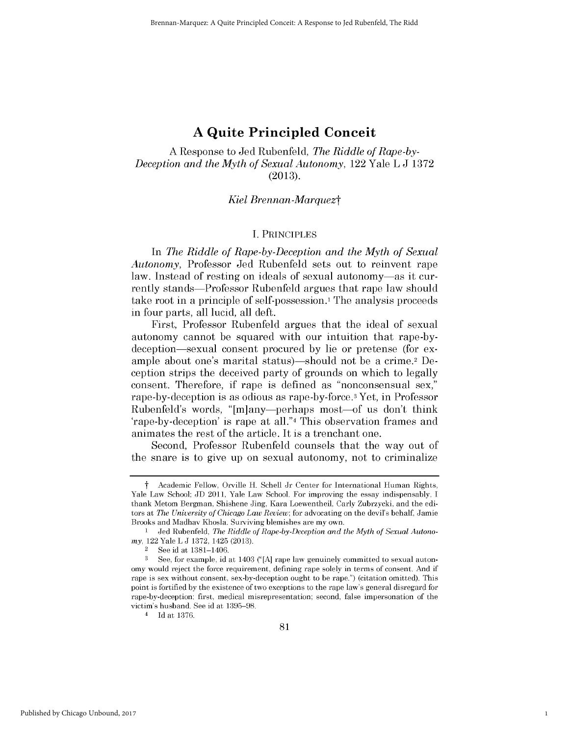# **A Quite Principled Conceit**

**A** Response to Jed Rubenfeld, *The Riddle of Rape-by-Deception and the Myth of Sexual Autonomy,* 122 Yale L **J 1372 (2013).**

#### *Kiel Brennan-Marquezt*

#### **I.** PRINCIPLES

In *The Riddle of Rape-by-Deception and the Myth of Sexual Autonomy,* Professor Jed Rubenfeld sets out to reinvent rape law. Instead of resting on ideals of sexual autonomy-as it currently stands-Professor Rubenfeld argues that rape law should take root in a principle of self-possession.<sup>1</sup> The analysis proceeds in four parts, all lucid, all deft.

First, Professor Rubenfeld argues that the ideal of sexual autonomy cannot be squared with our intuition that rape-bydeception-sexual consent procured **by** lie or pretense (for example about one's marital status)—should not be a crime.<sup>2</sup> Deception strips the deceived party of grounds on which to legally consent. Therefore, **if** rape is defined as "nonconsensual sex," rape-by-deception is as odious as rape-by-force.3 Yet, in Professor Rubenfeld's words, "[m]any-perhaps most-of us don't think 'rape-by-deception' is rape at all."4 This observation frames and animates the rest of the article. It *is* a trenchant one.

Second, Professor Rubenfeld counsels that the way out of the snare is to give up on sexual autonomy, not to criminalize

1

t Academic Fellow, Orville H. Schell Jr Center for International Human Rights, Yale Law School; **JD** 2011, Yale Law School. For improving the essay indispensably, **I** thank Metom Bergman, Shishene Jing, Kara Loewentheil, Carly Zubrzycki, and the editors at *The University of Chicago Law Review;* for advocating on the devils behalf, Jamie Brooks and Madhav Khosla. Surviving blemishes are my own.

<sup>1</sup> Jed Rubenfeld, *The Riddle of Rape-by-Deception and the Myth of Sexual Autonomy,* 122 Yale L **J 1372,** 1425 **(2013).**

<sup>2</sup>**See** id at **1381-1406.**

**<sup>3</sup>** See, for example, id at 1403 **("[A]** rape law genuinely committed to sexual autonomy would reject the force requirement, defining rape solely in terms of consent. And if rape is sex without consent, sex-by-deception ought to be rape.") (citation omitted). This point is fortified **by** the existence of two exceptions to the rape law's general disregard for rape-by-deception: first, medical misrepresentation; second, false impersonation of the victim's husband. See id at **1395-98.**

<sup>4</sup>**Id** at **1376.**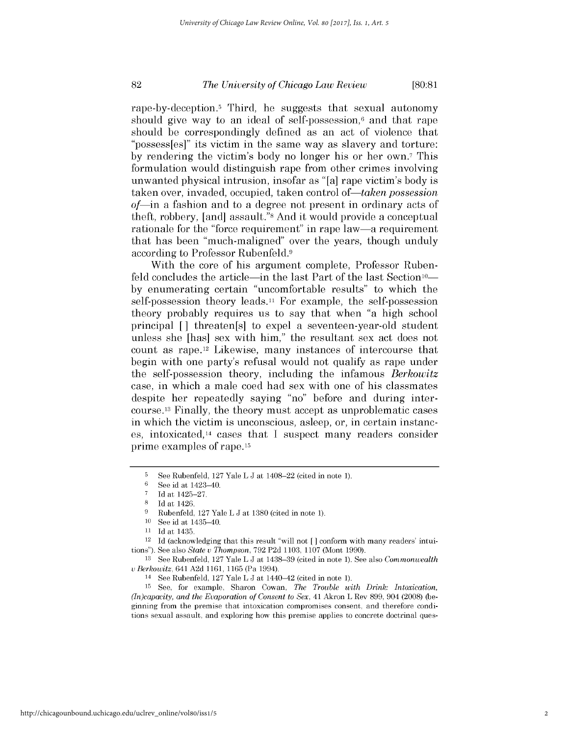# *The University of Chicago Law Review* **82 [80:81**

rape-by-deception.5 Third, he suggests that sexual autonomy should give way to an ideal of self-possession,<sup>6</sup> and that rape should be correspondingly defined as an act of violence that *"possess[es]" its* victim in the same way as slavery and torture: by rendering the victim's body no longer his or her own.<sup>7</sup> This formulation would distinguish rape from other crimes involving unwanted physical intrusion, insofar as "[a] rape victim's body **is** taken over, invaded, occupied, taken control of—taken possession *of-in* a fashion and to a degree not present in ordinary acts of theft, robbery, [and] assault."8 And it would provide a conceptual rationale for the "force requirement" in rape law—a requirement that has been "much-maligned" over the years, though unduly according to Professor Rubenfeld.9

With the core of his argument complete, Professor Rubenfeld concludes the article—in the last Part of the last Section<sup>10</sup> **by** enumerating certain "uncomfortable results" to which the self-possession theory leads.<sup>11</sup> For example, the self-possession theory probably requires us to say that when "a **high** school principal [] threaten[s] to expel a seventeen-year-old student unless she [has] sex with him," the resultant sex act does not count as rape.<sup>12</sup> Likewise, many instances of intercourse that begin with one party's refusal would not qualify as rape under the self-possession theory, including the infamous *Berkowitz* case, in which a male coed had sex with one of his classmates despite her repeatedly saying "no" before and during intercourse. 13 Finally, the theory must accept as unproblematic cases in which the victim is unconscious, asleep, or, in certain instances, intoxicated,14 cases that **I** suspect many readers consider prime examples of rape.15

**<sup>5</sup> See** Rubenfeld, **127** Yale L **J** at 1408-22 (cited in note **1).**

**<sup>6</sup>**See id at 1423-40.

**<sup>7</sup> Id** at 1425-27.

**<sup>8</sup> Id** at 1426.

**<sup>9</sup>** Rubenfeld, **127** Yale L **J** at **1380** (cited in note **1).**

<sup>&</sup>lt;sup>10</sup> See id at 1435–40.<br><sup>11</sup> Id at 1435

**<sup>11</sup> Id** at 1435.

<sup>12</sup> **Id** (acknowledging that this result "will not *[]* conform with many readers' intuitions"). See also *State u Thompson,* **792 P2d 1103, 1107** (Mont **1990).**

**<sup>13</sup>**See Rubenfeld, **127** Yale L **J** at **1438-39** (cited in note **1).** See also *Commonwealth u Berkowitz,* 641 **A2d 1161, 1165** (Pa 1994).

<sup>14</sup>**See** Rubenfeld, **127** Yale L **J** at 1440-42 (cited in note **1).**

**<sup>15</sup>**See, for example, Sharon Cowan, *The Trouble with Drink: Intoxication, (In)capacity, and the Evaporation of Consent to Sex,* 41 Akron L Rev **899,** 904 **(2008)** (beginning from the premise that intoxication compromises consent, and therefore conditions sexual assault, and exploring how this premise applies to concrete doctrinal ques-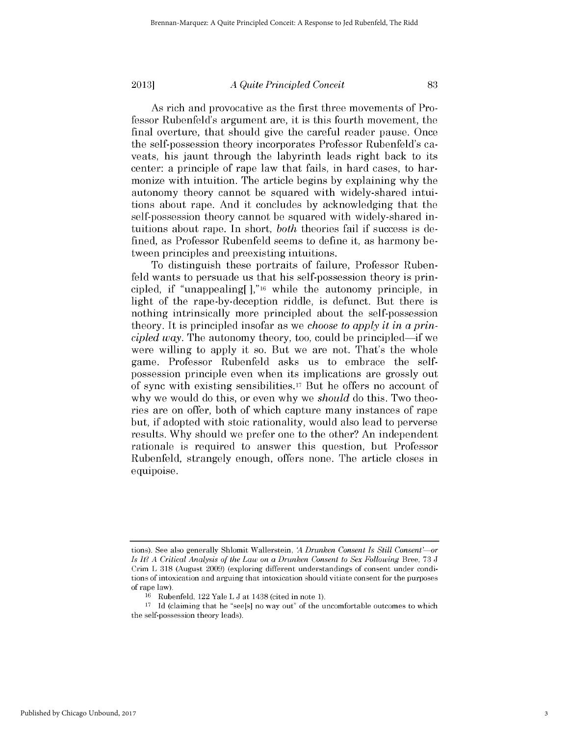# *A Quite Principled Conceit* **2013] 83**

As rich and provocative as the first three movements of Professor Rubenfeld's argument are, it *is* this fourth movement, the final overture, that should give the careful reader pause. Once the self-possession theory incorporates Professor Rubenfeld's caveats, his jaunt through the labyrinth leads right back to its center: a principle of rape law that fails, in hard cases, to harmonize with intuition. The article begins **by** explaining why the autonomy theory cannot be squared with widely-shared intuitions about rape. And it concludes **by** acknowledging that the self-possession theory cannot be squared with widely-shared intuitions about rape. In short, *both* theories fail **if** *success is* defined, as Professor Rubenfeld seems to define it, as harmony between principles and preexisting intuitions.

To distinguish these portraits of failure, Professor Rubenfeld wants to persuade us that his self-possession theory is principled, **if** "unappealing[],"16 while the autonomy principle, in light of the rape-by-deception riddle, is defunct. But there **is** nothing intrinsically more principled about the self-possession theory. It is principled insofar as we *choose to apply it in a principled way.* The autonomy theory, too, could be principled-if we were willing to apply it so. But we are not. That's the whole game. Professor Rubenfeld asks us to embrace the selfpossession principle even when its implications are grossly out of sync with existing sensibilities.17 But he offers no account of why we would do this, or even why we *should* do this. Two theories are on offer, both of which capture many instances of rape but, **if** adopted with stoic rationality, would also lead to perverse results. **Why** should we prefer one to the other? An independent rationale is required to answer this question, but Professor Rubenfeld, strangely enough, offers none. The article closes in equipoise.

**tions).** See also generally Shlomit Wallerstein, *A Drunken Consent Is Still Consent' or* Is It? A Critical Analysis of the Law on a Drunken Consent to Sex Following Bree, 73 J Crim L **318** (August **2009)** (exploring different understandings of consent under conditions of intoxication and arguing that intoxication should vitiate consent for the purposes of rape law).

**<sup>16</sup>**Rubenfeld, 122 Yale L **J** at 1438 (cited in note **1).**

**<sup>17</sup>Id** (claiming that he "see[s] no way out" of the uncomfortable outcomes to which the self-possession theory leads).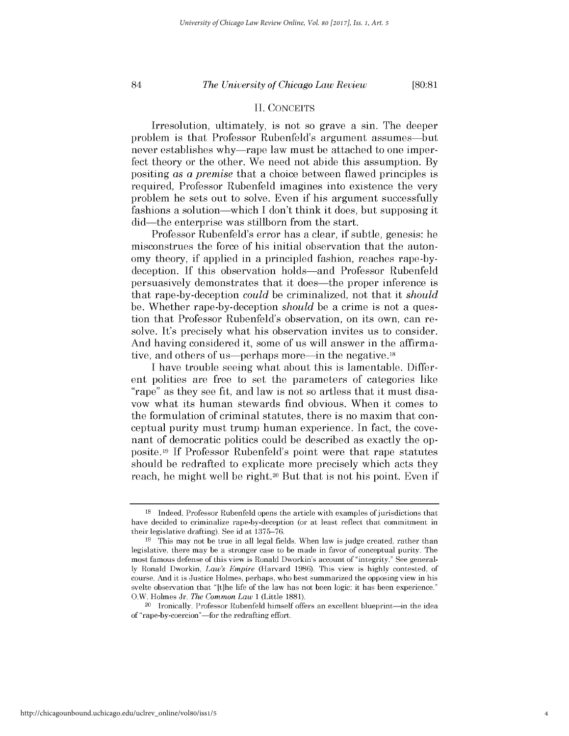# *The University of Chicago Law Review* 84 **[80:81**

# **II. CONCEITS**

Irresolution, ultimately, is not so grave a sin. The deeper problem is that Professor Rubenfeld's argument assumes-but never establishes why—rape law must be attached to one imperfect theory or the other. We need not abide this assumption. **By** positing *as a premise* that a choice between flawed principles **is** required, Professor Rubenfeld imagines into existence the very problem he sets out to solve. Even **if** his argument successfully fashions a solution-which **I** don't think it does, but supposing it did—the enterprise was stillborn from the start.

Professor Rubenfeld's error has a clear, **if** subtle, genesis: he misconstrues the force of his initial observation that the autonomy theory, **if** applied in a principled fashion, reaches rape-bydeception. **If** this observation holds-and Professor Rubenfeld persuasively demonstrates that it does-the proper inference **is** that rape-by-deception *could* be criminalized, not that it *should* be. Whether rape-by-deception *should* be a crime is not a question that Professor Rubenfeld's observation, on its own, can resolve. It's precisely what his observation invites us to consider. And having considered it, some of us will answer in the affirmative, and others of us—perhaps more—in the negative.<sup>18</sup>

**I** have trouble seeing what about this is lamentable. Different polities are free to set the parameters of categories like "rape" as they see fit, and law is not so artless that it must disavow what its human stewards find obvious. When it comes to the formulation of criminal statutes, there is no maxim that conceptual purity must trump human experience. In fact, the covenant of democratic politics could be described as exactly the opposite.19 **If** Professor Rubenfeld's point were that rape statutes should be redrafted to explicate more precisely which acts they reach, he might well be right.20 But that is not his point. Even **if**

**<sup>18</sup>**Indeed, Professor Rubenfeld opens the article with examples of jurisdictions that have decided to criminalize rape-by-deception (or at least reflect that commitment in their legislative drafting). See id at **1375-76.**

**<sup>19</sup>**This may not be true in all legal fields. When law is judge created, rather than legislative, there may be a stronger case to be made in favor of conceptual purity. The most famous defense of this view is Ronald Dworkin's account of "integrity." See general**ly** Ronald Dworkin, *Law's Empire* (Harvard **1986).** This view is **highly** contested, of course. And **it** is Justice Holmes, perhaps, who best summarized the opposing view in his svelte observation that "[t]he life of the law has not been logic: **it** has been experience." O.W. Holmes Jr, *The Common Law* **1** (Little **1881).**

<sup>&</sup>lt;sup>20</sup> Ironically, Professor Rubenfeld himself offers an excellent blueprint—in the idea of "rape-by-coercion"-for the redrafting effort.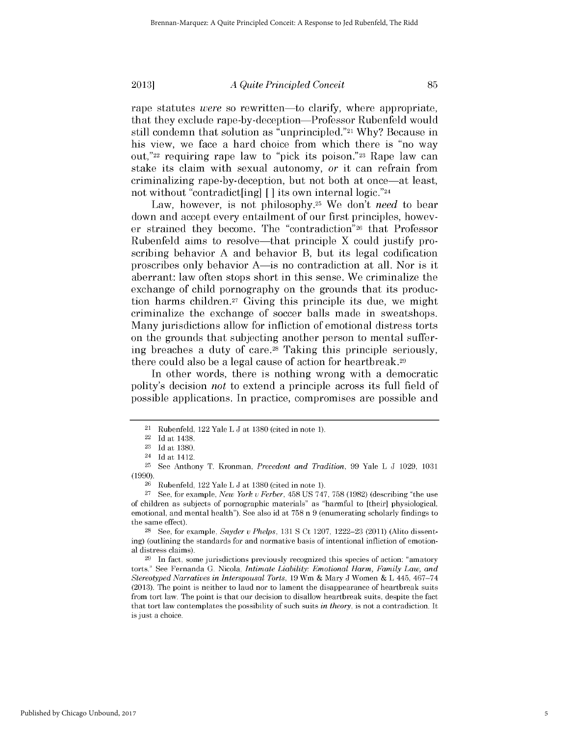*A Quite Principled Conceit* **2013] 85**

rape statutes *were* so rewritten—to clarify, where appropriate, that they exclude rape-by-deception-Professor Rubenfeld would still condemn that solution as "unprincipled."21 **Why?** Because in his view, we face a hard choice from which there is "no way out,"22 requiring rape law to **"pick** its poison."23 Rape law can stake its claim with sexual autonomy, *or* it can refrain from criminalizing rape-by-deception, but not both at once-at least, not without "contradict[ing] [] its own internal **logic."24**

Law, however, is not philosophy.25 We don't *need* to bear down and accept every entailment of our first principles, however strained they become. The "contradiction"26 that Professor Rubenfeld aims to resolve—that principle X could justify proscribing behavior **A** and behavior B, but its legal codification proscribes only behavior A-is no contradiction at all. Nor *is* it aberrant: law often stops short in this sense. We criminalize the exchange of **child** pornography on the grounds that its production harms children.27 Giving this principle its due, we might criminalize the exchange of soccer balls made in sweatshops. Many jurisdictions allow for infliction of emotional distress torts on the grounds that subjecting another person to mental suffering breaches a duty of care. 28 Taking this principle seriously, there could also be a legal cause of action for heartbreak.29

In other words, there is nothing wrong with a democratic polity's decision *not* to extend a principle across its full field of possible applications. In practice, compromises are possible and

<sup>21</sup> Rubenfeld, 122 Yale L **J** at **1380** (cited in note **1).**

<sup>22</sup>**Id** at 1438.

**<sup>23</sup> Id** at **1380.**

<sup>24</sup>**Id** at 1412.

**<sup>25</sup>**See Anthony T. Kronman, *Precedent and Tradition,* **99** Yale L **J 1029, 1031 (1990).**

**<sup>26</sup>**Rubenfeld, 122 Yale L **J** at **1380** (cited in note **1).**

**<sup>27</sup> See,** for example, *New York u Ferber,* 458 **US 747, 758 (1982)** (describing "the use of children as subjects of pornographic materials" as "harmful to [their] physiological, emotional, and mental health"). See also id at **758** n **9** (enumerating scholarly findings to the same effect).

**<sup>28</sup> See,** for example, *Snyder u Phelps,* **131 S** Ct **1207, 1222-23** (2011) (Alito dissenting) (outlining the standards for and normative basis of intentional infliction of emotional distress claims).

**<sup>29</sup>**In fact, some jurisdictions previously recognized this species of action: "amatory torts." See Fernanda **G.** Nicola, *Intimate Liability: Emotional Harm, Family Law, and Stereotyped Narratives in Interspousal Torts,* **19** Wm **&** Mary **J** Women **&** L 445, 467-74 **(2013).** The point is neither to laud nor to lament the disappearance of heartbreak suits from tort law. The point is that our decision to disallow heartbreak suits, despite the fact that tort law contemplates the possibility of such suits *in theory,* is not a contradiction. It is just a choice.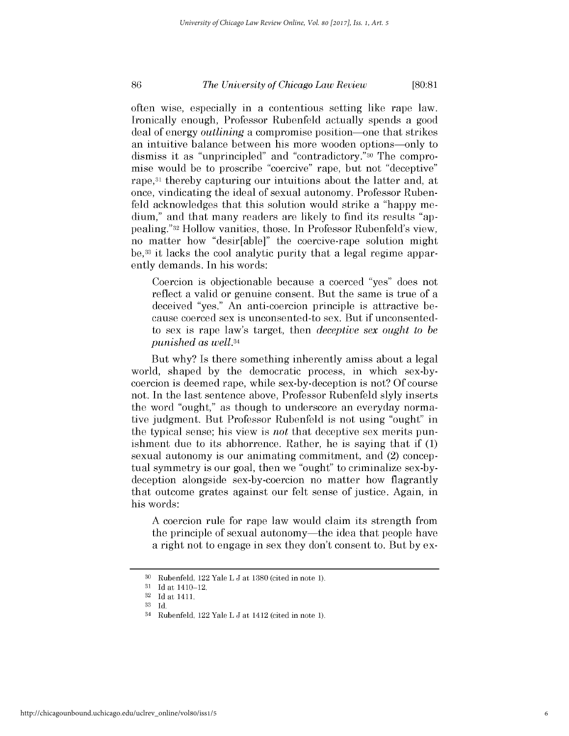# *The University of Chicago Law Review* **86 [80:81**

often wise, especially in a contentious setting like rape law. Ironically enough, Professor Rubenfeld actually spends a good deal of energy *outlining* a compromise position-one that strikes an intuitive balance between his more wooden options-only to dismiss it as "unprincipled" and "contradictory."30 The compromise would be to proscribe "coercive" rape, but not "deceptive" rape, 31 thereby capturing our intuitions about the latter and, at once, vindicating the ideal of sexual autonomy. Professor Rubenfeld acknowledges that this solution would strike a "happy medium," and that many readers are likely to find its results "appealing."32 Hollow vanities, those. In Professor Rubenfeld's view, no matter how "desir[able]" the coercive-rape solution might be,33 it lacks the cool analytic purity that a legal regime apparently demands. In his words:

Coercion is objectionable because a coerced "yes" does not reflect a valid or genuine consent. But the same is true of a deceived "yes." An anti-coercion principle is attractive because coerced sex is unconsented-to sex. But **if** unconsentedto sex is rape law's target, then *deceptive sex ought to be punished as well.34*

But why? Is there something inherently amiss about a legal world, shaped **by** the democratic process, in which sex-bycoercion is deemed rape, while sex-by-deception is not? **Of** course not. In the last sentence above, Professor Rubenfeld slyly inserts the word "ought," as though to underscore an everyday normative judgment. But Professor Rubenfeld is not using "ought" in the typical sense; his view is *not* that deceptive sex merits punishment due to its abhorrence. Rather, he is saying that **if (1)** sexual autonomy is our animating commitment, and (2) conceptual symmetry is our goal, then we "ought" to criminalize sex-bydeception alongside sex-by-coercion no matter how flagrantly that outcome grates against our felt sense of justice. Again, in his words:

**A** coercion rule for rape law would claim its strength from the principle of sexual autonomy—the idea that people have a right not to engage in sex they don't consent to. But **by** ex-

**<sup>30</sup>**Rubenfeld, 122 Yale L **J** at **1380** (cited in note **1).**

**<sup>31</sup> Id** at 1410-12.

**<sup>32</sup> Id** at 1411.

**<sup>33</sup> Id.**

<sup>34</sup> Rubenfeld, 122 Yale L **J** at 1412 (cited in note **1).**